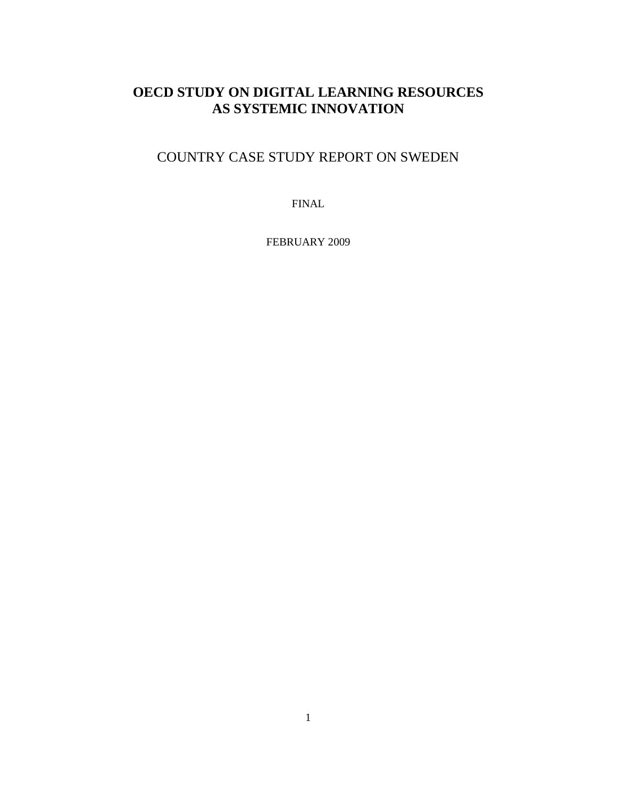# **OECD STUDY ON DIGITAL LEARNING RESOURCES AS SYSTEMIC INNOVATION**

# COUNTRY CASE STUDY REPORT ON SWEDEN

FINAL

FEBRUARY 2009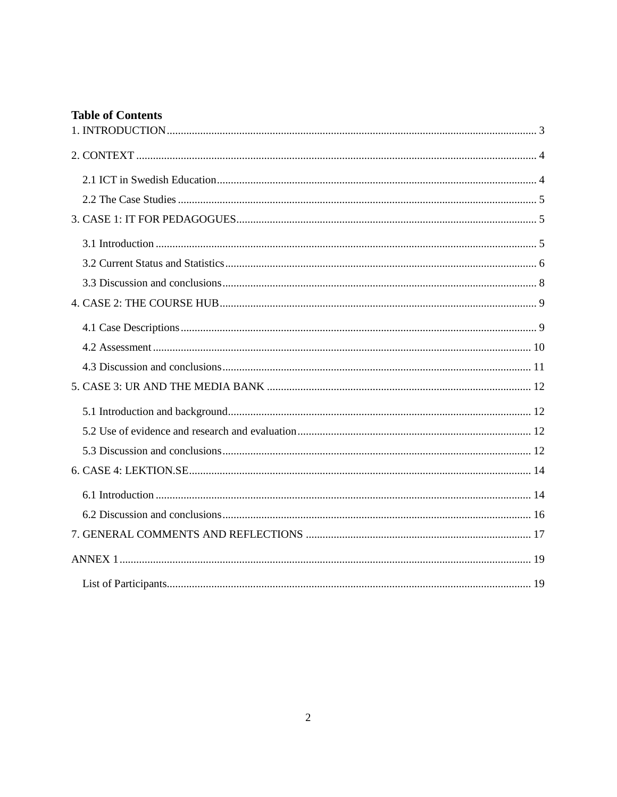# **Table of Contents**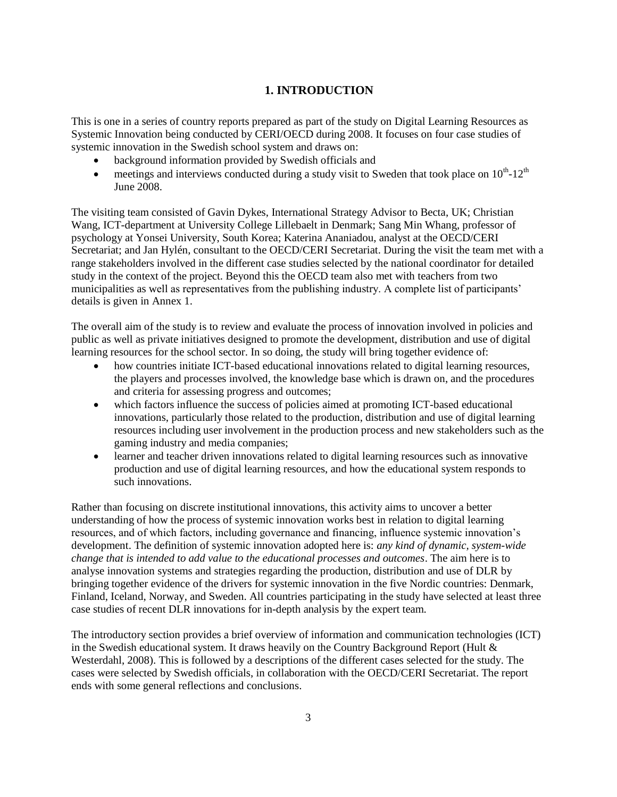# **1. INTRODUCTION**

This is one in a series of country reports prepared as part of the study on Digital Learning Resources as Systemic Innovation being conducted by CERI/OECD during 2008. It focuses on four case studies of systemic innovation in the Swedish school system and draws on:

- background information provided by Swedish officials and
- meetings and interviews conducted during a study visit to Sweden that took place on  $10^{th}$ - $12^{th}$ June 2008.

The visiting team consisted of Gavin Dykes, International Strategy Advisor to Becta, UK; Christian Wang, ICT-department at University College Lillebaelt in Denmark; Sang Min Whang, professor of psychology at Yonsei University, South Korea; Katerina Ananiadou, analyst at the OECD/CERI Secretariat; and Jan Hylén, consultant to the OECD/CERI Secretariat. During the visit the team met with a range stakeholders involved in the different case studies selected by the national coordinator for detailed study in the context of the project. Beyond this the OECD team also met with teachers from two municipalities as well as representatives from the publishing industry. A complete list of participants" details is given in Annex 1.

The overall aim of the study is to review and evaluate the process of innovation involved in policies and public as well as private initiatives designed to promote the development, distribution and use of digital learning resources for the school sector. In so doing, the study will bring together evidence of:

- how countries initiate ICT-based educational innovations related to digital learning resources, the players and processes involved, the knowledge base which is drawn on, and the procedures and criteria for assessing progress and outcomes;
- which factors influence the success of policies aimed at promoting ICT-based educational innovations, particularly those related to the production, distribution and use of digital learning resources including user involvement in the production process and new stakeholders such as the gaming industry and media companies;
- learner and teacher driven innovations related to digital learning resources such as innovative production and use of digital learning resources, and how the educational system responds to such innovations.

Rather than focusing on discrete institutional innovations, this activity aims to uncover a better understanding of how the process of systemic innovation works best in relation to digital learning resources, and of which factors, including governance and financing, influence systemic innovation"s development. The definition of systemic innovation adopted here is: *any kind of dynamic, system-wide change that is intended to add value to the educational processes and outcomes*. The aim here is to analyse innovation systems and strategies regarding the production, distribution and use of DLR by bringing together evidence of the drivers for systemic innovation in the five Nordic countries: Denmark, Finland, Iceland, Norway, and Sweden. All countries participating in the study have selected at least three case studies of recent DLR innovations for in-depth analysis by the expert team.

The introductory section provides a brief overview of information and communication technologies (ICT) in the Swedish educational system. It draws heavily on the Country Background Report (Hult & Westerdahl, 2008). This is followed by a descriptions of the different cases selected for the study. The cases were selected by Swedish officials, in collaboration with the OECD/CERI Secretariat. The report ends with some general reflections and conclusions.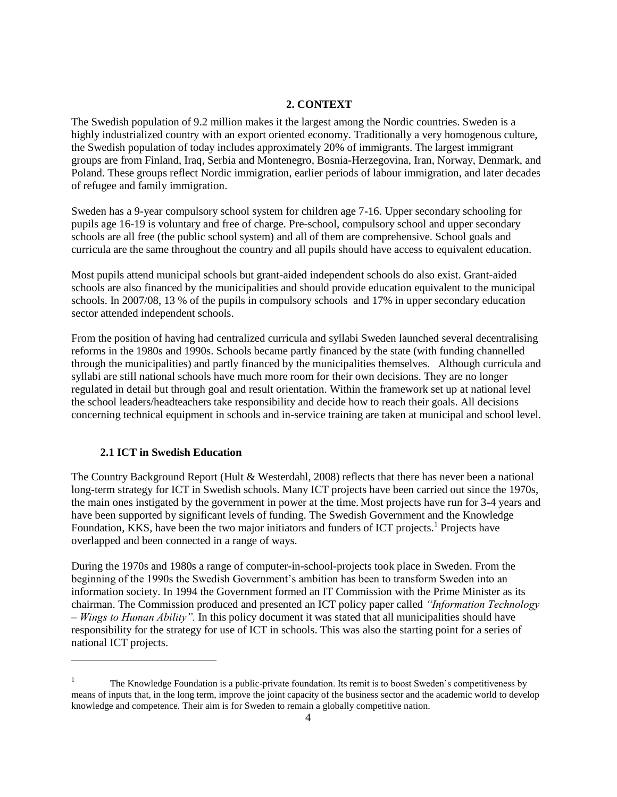## **2. CONTEXT**

The Swedish population of 9.2 million makes it the largest among the Nordic countries. Sweden is a highly industrialized country with an export oriented economy. Traditionally a very homogenous culture, the Swedish population of today includes approximately 20% of immigrants. The largest immigrant groups are from Finland, Iraq, Serbia and Montenegro, Bosnia-Herzegovina, Iran, Norway, Denmark, and Poland. These groups reflect Nordic immigration, earlier periods of labour immigration, and later decades of refugee and family immigration.

Sweden has a 9-year compulsory school system for children age 7-16. Upper secondary schooling for pupils age 16-19 is voluntary and free of charge. Pre-school, compulsory school and upper secondary schools are all free (the public school system) and all of them are comprehensive. School goals and curricula are the same throughout the country and all pupils should have access to equivalent education.

Most pupils attend municipal schools but grant-aided independent schools do also exist. Grant-aided schools are also financed by the municipalities and should provide education equivalent to the municipal schools. In 2007/08, 13 % of the pupils in compulsory schools and 17% in upper secondary education sector attended independent schools.

From the position of having had centralized curricula and syllabi Sweden launched several decentralising reforms in the 1980s and 1990s. Schools became partly financed by the state (with funding channelled through the municipalities) and partly financed by the municipalities themselves. Although curricula and syllabi are still national schools have much more room for their own decisions. They are no longer regulated in detail but through goal and result orientation. Within the framework set up at national level the school leaders/headteachers take responsibility and decide how to reach their goals. All decisions concerning technical equipment in schools and in-service training are taken at municipal and school level.

### **2.1 ICT in Swedish Education**

 $\ddot{\phantom{a}}$ 

The Country Background Report (Hult & Westerdahl, 2008) reflects that there has never been a national long-term strategy for ICT in Swedish schools. Many ICT projects have been carried out since the 1970s, the main ones instigated by the government in power at the time. Most projects have run for 3-4 years and have been supported by significant levels of funding. The Swedish Government and the Knowledge Foundation,  $\hat{K}KS$ , have been the two major initiators and funders of ICT projects.<sup>1</sup> Projects have overlapped and been connected in a range of ways.

During the 1970s and 1980s a range of computer-in-school-projects took place in Sweden. From the beginning of the 1990s the Swedish Government"s ambition has been to transform Sweden into an information society. In 1994 the Government formed an IT Commission with the Prime Minister as its chairman. The Commission produced and presented an ICT policy paper called *"Information Technology – Wings to Human Ability".* In this policy document it was stated that all municipalities should have responsibility for the strategy for use of ICT in schools. This was also the starting point for a series of national ICT projects.

<sup>1</sup> The Knowledge Foundation is a public-private foundation. Its remit is to boost Sweden"s competitiveness by means of inputs that, in the long term, improve the joint capacity of the business sector and the academic world to develop knowledge and competence. Their aim is for Sweden to remain a globally competitive nation.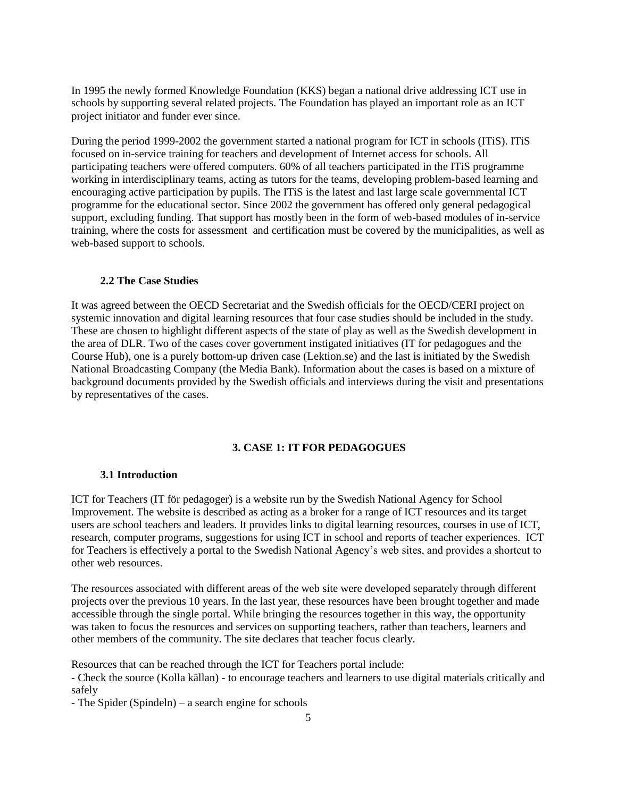In 1995 the newly formed Knowledge Foundation (KKS) began a national drive addressing ICT use in schools by supporting several related projects. The Foundation has played an important role as an ICT project initiator and funder ever since.

During the period 1999-2002 the government started a national program for ICT in schools (ITiS). ITiS focused on in-service training for teachers and development of Internet access for schools. All participating teachers were offered computers. 60% of all teachers participated in the ITiS programme working in interdisciplinary teams, acting as tutors for the teams, developing problem-based learning and encouraging active participation by pupils. The ITiS is the latest and last large scale governmental ICT programme for the educational sector. Since 2002 the government has offered only general pedagogical support, excluding funding. That support has mostly been in the form of web-based modules of in-service training, where the costs for assessment and certification must be covered by the municipalities, as well as web-based support to schools.

#### **2.2 The Case Studies**

It was agreed between the OECD Secretariat and the Swedish officials for the OECD/CERI project on systemic innovation and digital learning resources that four case studies should be included in the study. These are chosen to highlight different aspects of the state of play as well as the Swedish development in the area of DLR. Two of the cases cover government instigated initiatives (IT for pedagogues and the Course Hub), one is a purely bottom-up driven case (Lektion.se) and the last is initiated by the Swedish National Broadcasting Company (the Media Bank). Information about the cases is based on a mixture of background documents provided by the Swedish officials and interviews during the visit and presentations by representatives of the cases.

## **3. CASE 1: IT FOR PEDAGOGUES**

#### **3.1 Introduction**

ICT for Teachers (IT för pedagoger) is a website run by the Swedish National Agency for School Improvement. The website is described as acting as a broker for a range of ICT resources and its target users are school teachers and leaders. It provides links to digital learning resources, courses in use of ICT, research, computer programs, suggestions for using ICT in school and reports of teacher experiences. ICT for Teachers is effectively a portal to the Swedish National Agency"s web sites, and provides a shortcut to other web resources.

The resources associated with different areas of the web site were developed separately through different projects over the previous 10 years. In the last year, these resources have been brought together and made accessible through the single portal. While bringing the resources together in this way, the opportunity was taken to focus the resources and services on supporting teachers, rather than teachers, learners and other members of the community. The site declares that teacher focus clearly.

Resources that can be reached through the ICT for Teachers portal include:

- Check the source (Kolla källan) - to encourage teachers and learners to use digital materials critically and safely

- The Spider (Spindeln) – a search engine for schools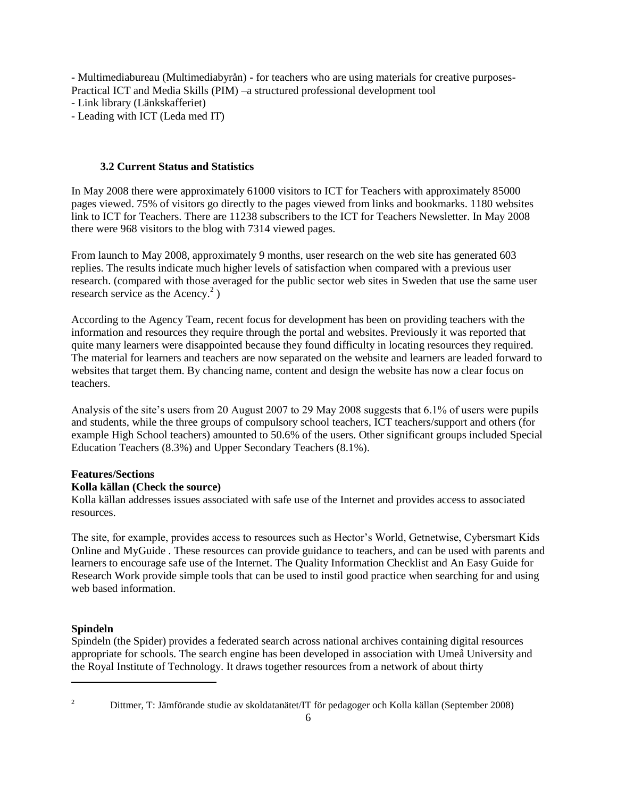- Multimediabureau (Multimediabyrån) - for teachers who are using materials for creative purposes-Practical ICT and Media Skills (PIM) –a structured professional development tool

- Link library (Länkskafferiet)

- Leading with ICT (Leda med IT)

## **3.2 Current Status and Statistics**

In May 2008 there were approximately 61000 visitors to ICT for Teachers with approximately 85000 pages viewed. 75% of visitors go directly to the pages viewed from links and bookmarks. 1180 websites link to ICT for Teachers. There are 11238 subscribers to the ICT for Teachers Newsletter. In May 2008 there were 968 visitors to the blog with 7314 viewed pages.

From launch to May 2008, approximately 9 months, user research on the web site has generated 603 replies. The results indicate much higher levels of satisfaction when compared with a previous user research. (compared with those averaged for the public sector web sites in Sweden that use the same user research service as the Acency. $2$ )

According to the Agency Team, recent focus for development has been on providing teachers with the information and resources they require through the portal and websites. Previously it was reported that quite many learners were disappointed because they found difficulty in locating resources they required. The material for learners and teachers are now separated on the website and learners are leaded forward to websites that target them. By chancing name, content and design the website has now a clear focus on teachers.

Analysis of the site's users from 20 August 2007 to 29 May 2008 suggests that 6.1% of users were pupils and students, while the three groups of compulsory school teachers, ICT teachers/support and others (for example High School teachers) amounted to 50.6% of the users. Other significant groups included Special Education Teachers (8.3%) and Upper Secondary Teachers (8.1%).

# **Features/Sections**

# **Kolla källan (Check the source)**

Kolla källan addresses issues associated with safe use of the Internet and provides access to associated resources.

The site, for example, provides access to resources such as Hector"s World, Getnetwise, Cybersmart Kids Online and MyGuide . These resources can provide guidance to teachers, and can be used with parents and learners to encourage safe use of the Internet. The Quality Information Checklist and An Easy Guide for Research Work provide simple tools that can be used to instil good practice when searching for and using web based information.

# **Spindeln**

Spindeln (the Spider) provides a federated search across national archives containing digital resources appropriate for schools. The search engine has been developed in association with Umeå University and the Royal Institute of Technology. It draws together resources from a network of about thirty

 $\overline{a}$ 

<sup>&</sup>lt;sup>2</sup> Dittmer, T: Jämförande studie av skoldatanätet/IT för pedagoger och Kolla källan (September 2008)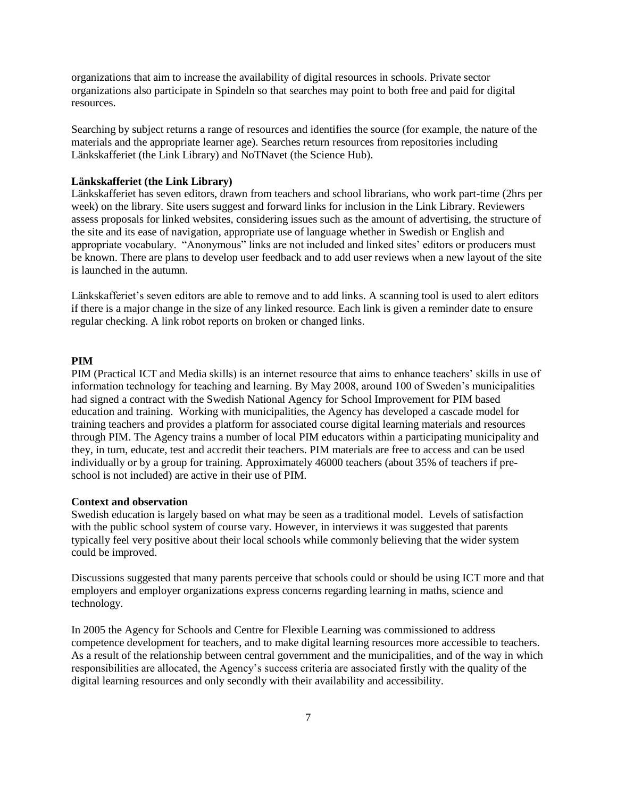organizations that aim to increase the availability of digital resources in schools. Private sector organizations also participate in Spindeln so that searches may point to both free and paid for digital resources.

Searching by subject returns a range of resources and identifies the source (for example, the nature of the materials and the appropriate learner age). Searches return resources from repositories including Länkskafferiet (the Link Library) and NoTNavet (the Science Hub).

#### **Länkskafferiet (the Link Library)**

Länkskafferiet has seven editors, drawn from teachers and school librarians, who work part-time (2hrs per week) on the library. Site users suggest and forward links for inclusion in the Link Library. Reviewers assess proposals for linked websites, considering issues such as the amount of advertising, the structure of the site and its ease of navigation, appropriate use of language whether in Swedish or English and appropriate vocabulary. "Anonymous" links are not included and linked sites' editors or producers must be known. There are plans to develop user feedback and to add user reviews when a new layout of the site is launched in the autumn.

Länkskafferiet's seven editors are able to remove and to add links. A scanning tool is used to alert editors if there is a major change in the size of any linked resource. Each link is given a reminder date to ensure regular checking. A link robot reports on broken or changed links.

### **PIM**

PIM (Practical ICT and Media skills) is an internet resource that aims to enhance teachers" skills in use of information technology for teaching and learning. By May 2008, around 100 of Sweden"s municipalities had signed a contract with the Swedish National Agency for School Improvement for PIM based education and training. Working with municipalities, the Agency has developed a cascade model for training teachers and provides a platform for associated course digital learning materials and resources through PIM. The Agency trains a number of local PIM educators within a participating municipality and they, in turn, educate, test and accredit their teachers. PIM materials are free to access and can be used individually or by a group for training. Approximately 46000 teachers (about 35% of teachers if preschool is not included) are active in their use of PIM.

#### **Context and observation**

Swedish education is largely based on what may be seen as a traditional model. Levels of satisfaction with the public school system of course vary. However, in interviews it was suggested that parents typically feel very positive about their local schools while commonly believing that the wider system could be improved.

Discussions suggested that many parents perceive that schools could or should be using ICT more and that employers and employer organizations express concerns regarding learning in maths, science and technology.

In 2005 the Agency for Schools and Centre for Flexible Learning was commissioned to address competence development for teachers, and to make digital learning resources more accessible to teachers. As a result of the relationship between central government and the municipalities, and of the way in which responsibilities are allocated, the Agency"s success criteria are associated firstly with the quality of the digital learning resources and only secondly with their availability and accessibility.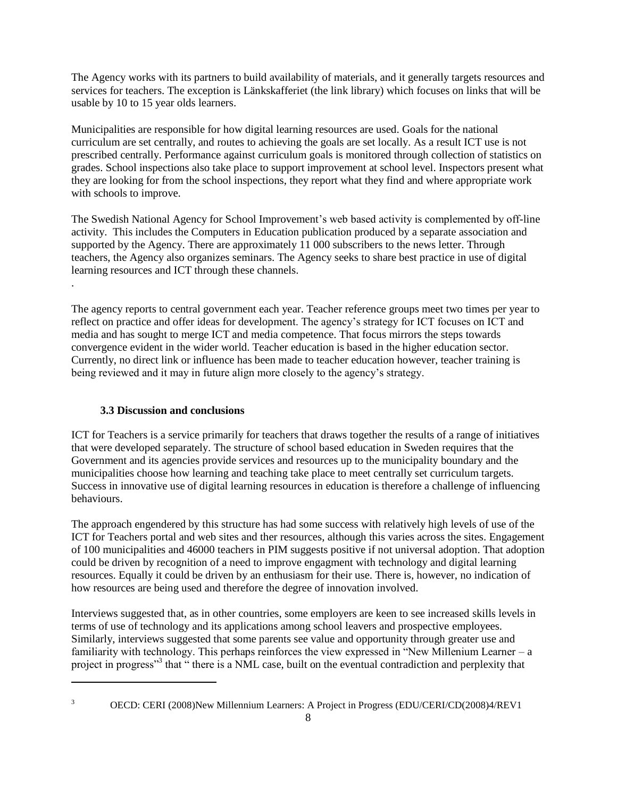The Agency works with its partners to build availability of materials, and it generally targets resources and services for teachers. The exception is Länkskafferiet (the link library) which focuses on links that will be usable by 10 to 15 year olds learners.

Municipalities are responsible for how digital learning resources are used. Goals for the national curriculum are set centrally, and routes to achieving the goals are set locally. As a result ICT use is not prescribed centrally. Performance against curriculum goals is monitored through collection of statistics on grades. School inspections also take place to support improvement at school level. Inspectors present what they are looking for from the school inspections, they report what they find and where appropriate work with schools to improve.

The Swedish National Agency for School Improvement's web based activity is complemented by off-line activity. This includes the Computers in Education publication produced by a separate association and supported by the Agency. There are approximately 11 000 subscribers to the news letter. Through teachers, the Agency also organizes seminars. The Agency seeks to share best practice in use of digital learning resources and ICT through these channels.

The agency reports to central government each year. Teacher reference groups meet two times per year to reflect on practice and offer ideas for development. The agency"s strategy for ICT focuses on ICT and media and has sought to merge ICT and media competence. That focus mirrors the steps towards convergence evident in the wider world. Teacher education is based in the higher education sector. Currently, no direct link or influence has been made to teacher education however, teacher training is being reviewed and it may in future align more closely to the agency"s strategy.

## **3.3 Discussion and conclusions**

ICT for Teachers is a service primarily for teachers that draws together the results of a range of initiatives that were developed separately. The structure of school based education in Sweden requires that the Government and its agencies provide services and resources up to the municipality boundary and the municipalities choose how learning and teaching take place to meet centrally set curriculum targets. Success in innovative use of digital learning resources in education is therefore a challenge of influencing behaviours.

The approach engendered by this structure has had some success with relatively high levels of use of the ICT for Teachers portal and web sites and ther resources, although this varies across the sites. Engagement of 100 municipalities and 46000 teachers in PIM suggests positive if not universal adoption. That adoption could be driven by recognition of a need to improve engagment with technology and digital learning resources. Equally it could be driven by an enthusiasm for their use. There is, however, no indication of how resources are being used and therefore the degree of innovation involved.

Interviews suggested that, as in other countries, some employers are keen to see increased skills levels in terms of use of technology and its applications among school leavers and prospective employees. Similarly, interviews suggested that some parents see value and opportunity through greater use and familiarity with technology. This perhaps reinforces the view expressed in "New Millenium Learner – a project in progress"<sup>3</sup> that " there is a NML case, built on the eventual contradiction and perplexity that

 $\overline{a}$ 

.

<sup>&</sup>lt;sup>3</sup> OECD: CERI (2008)New Millennium Learners: A Project in Progress (EDU/CERI/CD(2008)4/REV1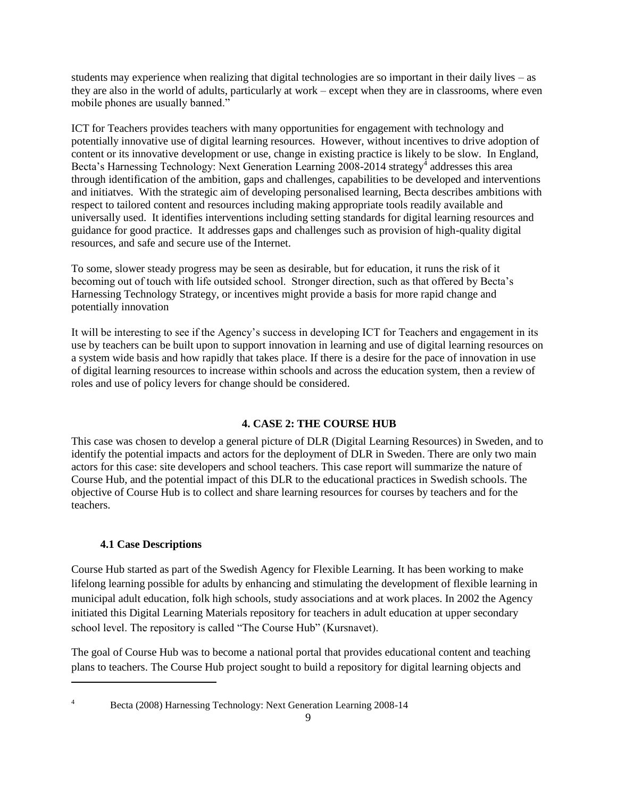students may experience when realizing that digital technologies are so important in their daily lives – as they are also in the world of adults, particularly at work – except when they are in classrooms, where even mobile phones are usually banned."

ICT for Teachers provides teachers with many opportunities for engagement with technology and potentially innovative use of digital learning resources. However, without incentives to drive adoption of content or its innovative development or use, change in existing practice is likely to be slow. In England, Becta's Harnessing Technology: Next Generation Learning 2008-2014 strategy<sup>4</sup> addresses this area through identification of the ambition, gaps and challenges, capabilities to be developed and interventions and initiatves. With the strategic aim of developing personalised learning, Becta describes ambitions with respect to tailored content and resources including making appropriate tools readily available and universally used. It identifies interventions including setting standards for digital learning resources and guidance for good practice. It addresses gaps and challenges such as provision of high-quality digital resources, and safe and secure use of the Internet.

To some, slower steady progress may be seen as desirable, but for education, it runs the risk of it becoming out of touch with life outsided school. Stronger direction, such as that offered by Becta"s Harnessing Technology Strategy, or incentives might provide a basis for more rapid change and potentially innovation

It will be interesting to see if the Agency"s success in developing ICT for Teachers and engagement in its use by teachers can be built upon to support innovation in learning and use of digital learning resources on a system wide basis and how rapidly that takes place. If there is a desire for the pace of innovation in use of digital learning resources to increase within schools and across the education system, then a review of roles and use of policy levers for change should be considered.

## **4. CASE 2: THE COURSE HUB**

This case was chosen to develop a general picture of DLR (Digital Learning Resources) in Sweden, and to identify the potential impacts and actors for the deployment of DLR in Sweden. There are only two main actors for this case: site developers and school teachers. This case report will summarize the nature of Course Hub, and the potential impact of this DLR to the educational practices in Swedish schools. The objective of Course Hub is to collect and share learning resources for courses by teachers and for the teachers.

### **4.1 Case Descriptions**

Course Hub started as part of the Swedish Agency for Flexible Learning. It has been working to make lifelong learning possible for adults by enhancing and stimulating the development of flexible learning in municipal adult education, folk high schools, study associations and at work places. In 2002 the Agency initiated this Digital Learning Materials repository for teachers in adult education at upper secondary school level. The repository is called "The Course Hub" (Kursnavet).

The goal of Course Hub was to become a national portal that provides educational content and teaching plans to teachers. The Course Hub project sought to build a repository for digital learning objects and

 $\overline{a}$ 

<sup>4</sup> Becta (2008) Harnessing Technology: Next Generation Learning 2008-14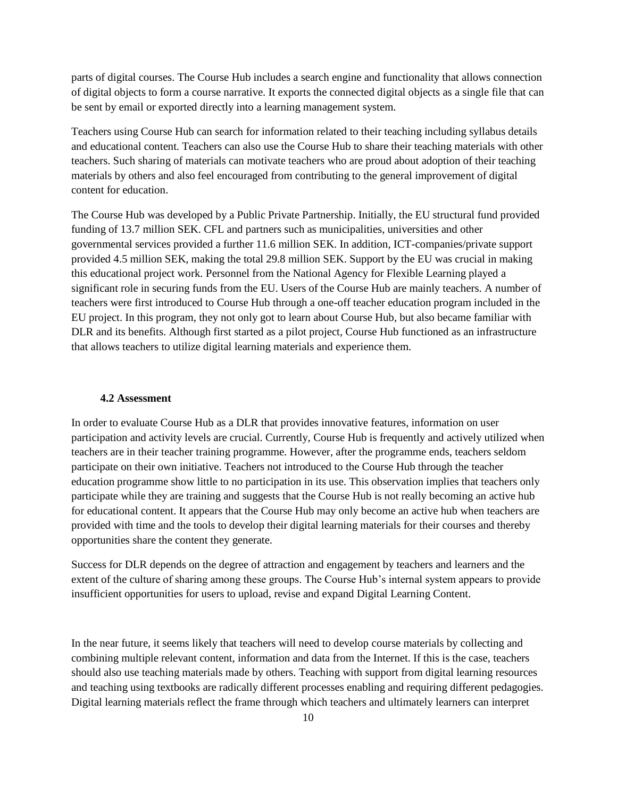parts of digital courses. The Course Hub includes a search engine and functionality that allows connection of digital objects to form a course narrative. It exports the connected digital objects as a single file that can be sent by email or exported directly into a learning management system.

Teachers using Course Hub can search for information related to their teaching including syllabus details and educational content. Teachers can also use the Course Hub to share their teaching materials with other teachers. Such sharing of materials can motivate teachers who are proud about adoption of their teaching materials by others and also feel encouraged from contributing to the general improvement of digital content for education.

The Course Hub was developed by a Public Private Partnership. Initially, the EU structural fund provided funding of 13.7 million SEK. CFL and partners such as municipalities, universities and other governmental services provided a further 11.6 million SEK. In addition, ICT-companies/private support provided 4.5 million SEK, making the total 29.8 million SEK. Support by the EU was crucial in making this educational project work. Personnel from the National Agency for Flexible Learning played a significant role in securing funds from the EU. Users of the Course Hub are mainly teachers. A number of teachers were first introduced to Course Hub through a one-off teacher education program included in the EU project. In this program, they not only got to learn about Course Hub, but also became familiar with DLR and its benefits. Although first started as a pilot project, Course Hub functioned as an infrastructure that allows teachers to utilize digital learning materials and experience them.

#### **4.2 Assessment**

In order to evaluate Course Hub as a DLR that provides innovative features, information on user participation and activity levels are crucial. Currently, Course Hub is frequently and actively utilized when teachers are in their teacher training programme. However, after the programme ends, teachers seldom participate on their own initiative. Teachers not introduced to the Course Hub through the teacher education programme show little to no participation in its use. This observation implies that teachers only participate while they are training and suggests that the Course Hub is not really becoming an active hub for educational content. It appears that the Course Hub may only become an active hub when teachers are provided with time and the tools to develop their digital learning materials for their courses and thereby opportunities share the content they generate.

Success for DLR depends on the degree of attraction and engagement by teachers and learners and the extent of the culture of sharing among these groups. The Course Hub's internal system appears to provide insufficient opportunities for users to upload, revise and expand Digital Learning Content.

In the near future, it seems likely that teachers will need to develop course materials by collecting and combining multiple relevant content, information and data from the Internet. If this is the case, teachers should also use teaching materials made by others. Teaching with support from digital learning resources and teaching using textbooks are radically different processes enabling and requiring different pedagogies. Digital learning materials reflect the frame through which teachers and ultimately learners can interpret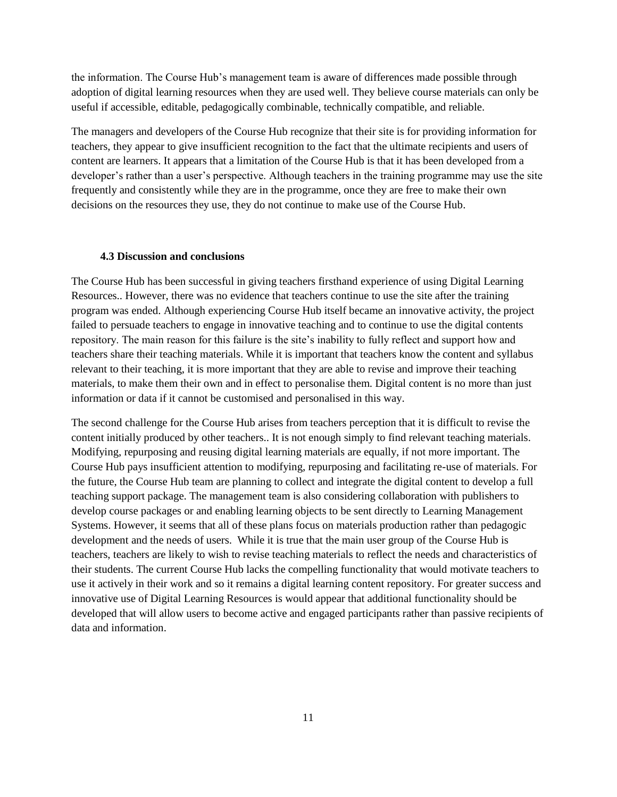the information. The Course Hub's management team is aware of differences made possible through adoption of digital learning resources when they are used well. They believe course materials can only be useful if accessible, editable, pedagogically combinable, technically compatible, and reliable.

The managers and developers of the Course Hub recognize that their site is for providing information for teachers, they appear to give insufficient recognition to the fact that the ultimate recipients and users of content are learners. It appears that a limitation of the Course Hub is that it has been developed from a developer's rather than a user's perspective. Although teachers in the training programme may use the site frequently and consistently while they are in the programme, once they are free to make their own decisions on the resources they use, they do not continue to make use of the Course Hub.

#### **4.3 Discussion and conclusions**

The Course Hub has been successful in giving teachers firsthand experience of using Digital Learning Resources.. However, there was no evidence that teachers continue to use the site after the training program was ended. Although experiencing Course Hub itself became an innovative activity, the project failed to persuade teachers to engage in innovative teaching and to continue to use the digital contents repository. The main reason for this failure is the site"s inability to fully reflect and support how and teachers share their teaching materials. While it is important that teachers know the content and syllabus relevant to their teaching, it is more important that they are able to revise and improve their teaching materials, to make them their own and in effect to personalise them. Digital content is no more than just information or data if it cannot be customised and personalised in this way.

The second challenge for the Course Hub arises from teachers perception that it is difficult to revise the content initially produced by other teachers.. It is not enough simply to find relevant teaching materials. Modifying, repurposing and reusing digital learning materials are equally, if not more important. The Course Hub pays insufficient attention to modifying, repurposing and facilitating re-use of materials. For the future, the Course Hub team are planning to collect and integrate the digital content to develop a full teaching support package. The management team is also considering collaboration with publishers to develop course packages or and enabling learning objects to be sent directly to Learning Management Systems. However, it seems that all of these plans focus on materials production rather than pedagogic development and the needs of users. While it is true that the main user group of the Course Hub is teachers, teachers are likely to wish to revise teaching materials to reflect the needs and characteristics of their students. The current Course Hub lacks the compelling functionality that would motivate teachers to use it actively in their work and so it remains a digital learning content repository. For greater success and innovative use of Digital Learning Resources is would appear that additional functionality should be developed that will allow users to become active and engaged participants rather than passive recipients of data and information.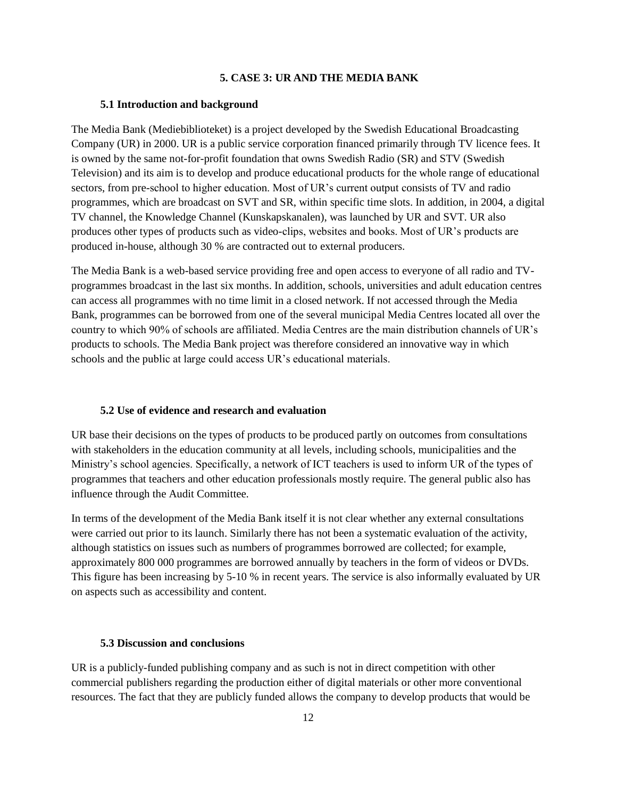## **5. CASE 3: UR AND THE MEDIA BANK**

#### **5.1 Introduction and background**

The Media Bank (Mediebiblioteket) is a project developed by the Swedish Educational Broadcasting Company (UR) in 2000. UR is a public service corporation financed primarily through TV licence fees. It is owned by the same not-for-profit foundation that owns Swedish Radio (SR) and STV (Swedish Television) and its aim is to develop and produce educational products for the whole range of educational sectors, from pre-school to higher education. Most of UR"s current output consists of TV and radio programmes, which are broadcast on SVT and SR, within specific time slots. In addition, in 2004, a digital TV channel, the Knowledge Channel (Kunskapskanalen), was launched by UR and SVT. UR also produces other types of products such as video-clips, websites and books. Most of UR"s products are produced in-house, although 30 % are contracted out to external producers.

The Media Bank is a web-based service providing free and open access to everyone of all radio and TVprogrammes broadcast in the last six months. In addition, schools, universities and adult education centres can access all programmes with no time limit in a closed network. If not accessed through the Media Bank, programmes can be borrowed from one of the several municipal Media Centres located all over the country to which 90% of schools are affiliated. Media Centres are the main distribution channels of UR"s products to schools. The Media Bank project was therefore considered an innovative way in which schools and the public at large could access UR's educational materials.

## **5.2 Use of evidence and research and evaluation**

UR base their decisions on the types of products to be produced partly on outcomes from consultations with stakeholders in the education community at all levels, including schools, municipalities and the Ministry"s school agencies. Specifically, a network of ICT teachers is used to inform UR of the types of programmes that teachers and other education professionals mostly require. The general public also has influence through the Audit Committee.

In terms of the development of the Media Bank itself it is not clear whether any external consultations were carried out prior to its launch. Similarly there has not been a systematic evaluation of the activity, although statistics on issues such as numbers of programmes borrowed are collected; for example, approximately 800 000 programmes are borrowed annually by teachers in the form of videos or DVDs. This figure has been increasing by 5-10 % in recent years. The service is also informally evaluated by UR on aspects such as accessibility and content.

## **5.3 Discussion and conclusions**

UR is a publicly-funded publishing company and as such is not in direct competition with other commercial publishers regarding the production either of digital materials or other more conventional resources. The fact that they are publicly funded allows the company to develop products that would be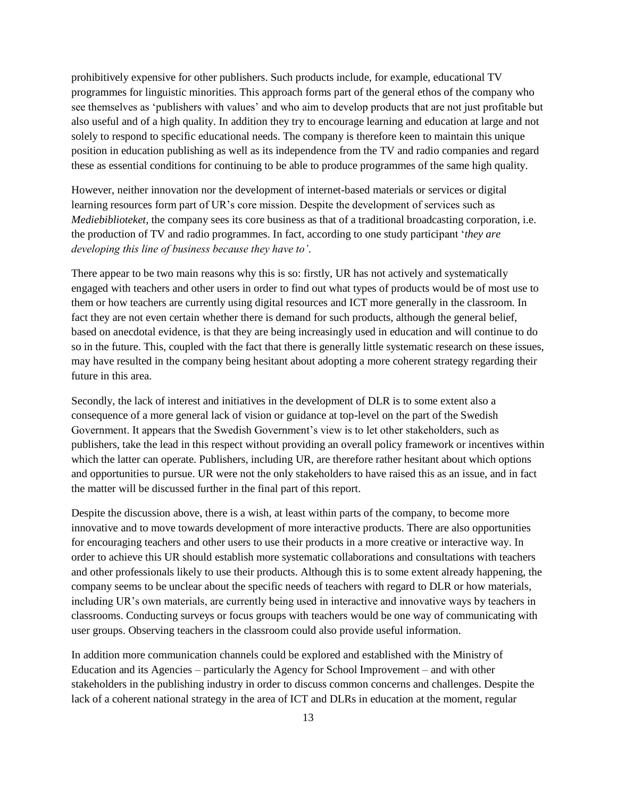prohibitively expensive for other publishers. Such products include, for example, educational TV programmes for linguistic minorities. This approach forms part of the general ethos of the company who see themselves as "publishers with values" and who aim to develop products that are not just profitable but also useful and of a high quality. In addition they try to encourage learning and education at large and not solely to respond to specific educational needs. The company is therefore keen to maintain this unique position in education publishing as well as its independence from the TV and radio companies and regard these as essential conditions for continuing to be able to produce programmes of the same high quality.

However, neither innovation nor the development of internet-based materials or services or digital learning resources form part of UR's core mission. Despite the development of services such as *Mediebiblioteket*, the company sees its core business as that of a traditional broadcasting corporation, i.e. the production of TV and radio programmes. In fact, according to one study participant "*they are developing this line of business because they have to'*.

There appear to be two main reasons why this is so: firstly, UR has not actively and systematically engaged with teachers and other users in order to find out what types of products would be of most use to them or how teachers are currently using digital resources and ICT more generally in the classroom. In fact they are not even certain whether there is demand for such products, although the general belief, based on anecdotal evidence, is that they are being increasingly used in education and will continue to do so in the future. This, coupled with the fact that there is generally little systematic research on these issues, may have resulted in the company being hesitant about adopting a more coherent strategy regarding their future in this area.

Secondly, the lack of interest and initiatives in the development of DLR is to some extent also a consequence of a more general lack of vision or guidance at top-level on the part of the Swedish Government. It appears that the Swedish Government"s view is to let other stakeholders, such as publishers, take the lead in this respect without providing an overall policy framework or incentives within which the latter can operate. Publishers, including UR, are therefore rather hesitant about which options and opportunities to pursue. UR were not the only stakeholders to have raised this as an issue, and in fact the matter will be discussed further in the final part of this report.

Despite the discussion above, there is a wish, at least within parts of the company, to become more innovative and to move towards development of more interactive products. There are also opportunities for encouraging teachers and other users to use their products in a more creative or interactive way. In order to achieve this UR should establish more systematic collaborations and consultations with teachers and other professionals likely to use their products. Although this is to some extent already happening, the company seems to be unclear about the specific needs of teachers with regard to DLR or how materials, including UR"s own materials, are currently being used in interactive and innovative ways by teachers in classrooms. Conducting surveys or focus groups with teachers would be one way of communicating with user groups. Observing teachers in the classroom could also provide useful information.

In addition more communication channels could be explored and established with the Ministry of Education and its Agencies – particularly the Agency for School Improvement – and with other stakeholders in the publishing industry in order to discuss common concerns and challenges. Despite the lack of a coherent national strategy in the area of ICT and DLRs in education at the moment, regular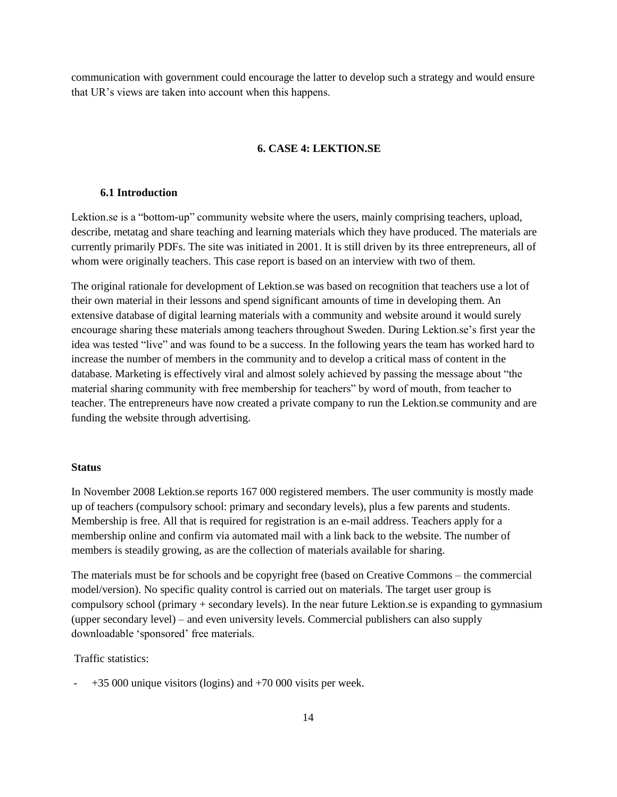communication with government could encourage the latter to develop such a strategy and would ensure that UR"s views are taken into account when this happens.

#### **6. CASE 4: LEKTION.SE**

#### **6.1 Introduction**

Lektion.se is a "bottom-up" community website where the users, mainly comprising teachers, upload, describe, metatag and share teaching and learning materials which they have produced. The materials are currently primarily PDFs. The site was initiated in 2001. It is still driven by its three entrepreneurs, all of whom were originally teachers. This case report is based on an interview with two of them.

The original rationale for development of Lektion.se was based on recognition that teachers use a lot of their own material in their lessons and spend significant amounts of time in developing them. An extensive database of digital learning materials with a community and website around it would surely encourage sharing these materials among teachers throughout Sweden. During Lektion.se"s first year the idea was tested "live" and was found to be a success. In the following years the team has worked hard to increase the number of members in the community and to develop a critical mass of content in the database. Marketing is effectively viral and almost solely achieved by passing the message about "the material sharing community with free membership for teachers" by word of mouth, from teacher to teacher. The entrepreneurs have now created a private company to run the Lektion.se community and are funding the website through advertising.

#### **Status**

In November 2008 Lektion.se reports 167 000 registered members. The user community is mostly made up of teachers (compulsory school: primary and secondary levels), plus a few parents and students. Membership is free. All that is required for registration is an e-mail address. Teachers apply for a membership online and confirm via automated mail with a link back to the website. The number of members is steadily growing, as are the collection of materials available for sharing.

The materials must be for schools and be copyright free (based on Creative Commons – the commercial model/version). No specific quality control is carried out on materials. The target user group is compulsory school (primary + secondary levels). In the near future Lektion.se is expanding to gymnasium (upper secondary level) – and even university levels. Commercial publishers can also supply downloadable 'sponsored' free materials.

Traffic statistics:

- +35 000 unique visitors (logins) and +70 000 visits per week.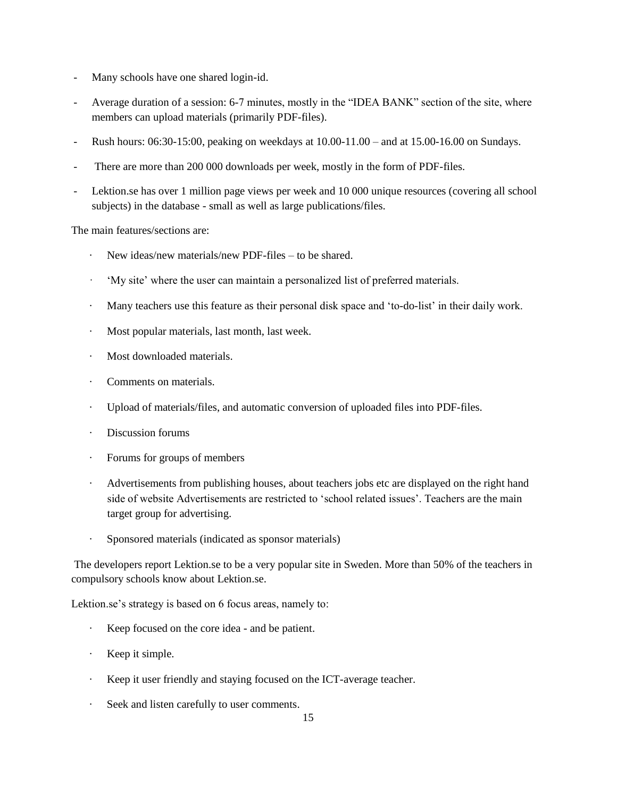- Many schools have one shared login-id.
- Average duration of a session: 6-7 minutes, mostly in the "IDEA BANK" section of the site, where members can upload materials (primarily PDF-files).
- Rush hours: 06:30-15:00, peaking on weekdays at 10.00-11.00 and at 15.00-16.00 on Sundays.
- There are more than 200 000 downloads per week, mostly in the form of PDF-files.
- Lektion.se has over 1 million page views per week and 10 000 unique resources (covering all school subjects) in the database - small as well as large publications/files.

The main features/sections are:

- New ideas/new materials/new PDF-files to be shared.
- · "My site" where the user can maintain a personalized list of preferred materials.
- · Many teachers use this feature as their personal disk space and "to-do-list" in their daily work.
- · Most popular materials, last month, last week.
- Most downloaded materials.
- Comments on materials.
- · Upload of materials/files, and automatic conversion of uploaded files into PDF-files.
- · Discussion forums
- · Forums for groups of members
- · Advertisements from publishing houses, about teachers jobs etc are displayed on the right hand side of website Advertisements are restricted to 'school related issues'. Teachers are the main target group for advertising.
- Sponsored materials (indicated as sponsor materials)

The developers report Lektion.se to be a very popular site in Sweden. More than 50% of the teachers in compulsory schools know about Lektion.se.

Lektion.se's strategy is based on 6 focus areas, namely to:

- · Keep focused on the core idea and be patient.
- · Keep it simple.
- Keep it user friendly and staying focused on the ICT-average teacher.
- Seek and listen carefully to user comments.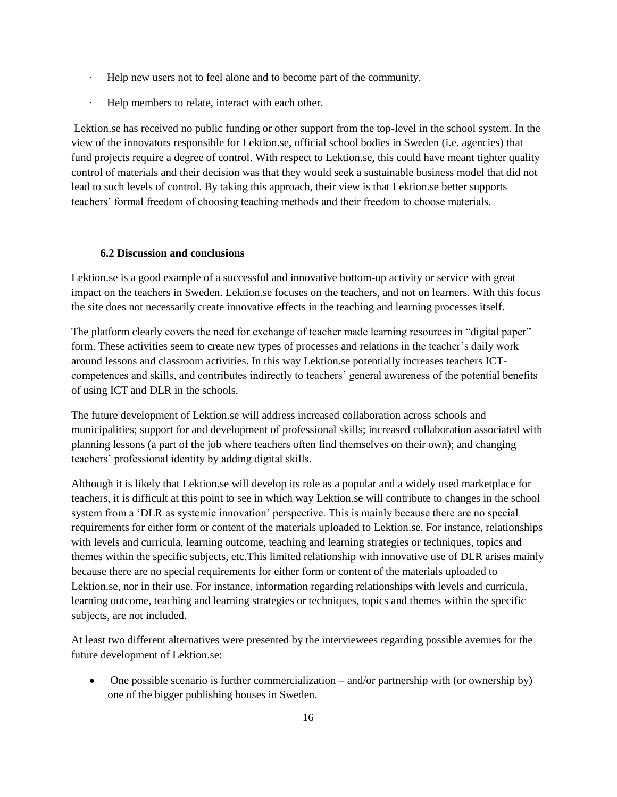- Help new users not to feel alone and to become part of the community.
- Help members to relate, interact with each other.

Lektion.se has received no public funding or other support from the top-level in the school system. In the view of the innovators responsible for Lektion.se, official school bodies in Sweden (i.e. agencies) that fund projects require a degree of control. With respect to Lektion.se, this could have meant tighter quality control of materials and their decision was that they would seek a sustainable business model that did not lead to such levels of control. By taking this approach, their view is that Lektion.se better supports teachers" formal freedom of choosing teaching methods and their freedom to choose materials.

## **6.2 Discussion and conclusions**

Lektion.se is a good example of a successful and innovative bottom-up activity or service with great impact on the teachers in Sweden. Lektion.se focuses on the teachers, and not on learners. With this focus the site does not necessarily create innovative effects in the teaching and learning processes itself.

The platform clearly covers the need for exchange of teacher made learning resources in "digital paper" form. These activities seem to create new types of processes and relations in the teacher"s daily work around lessons and classroom activities. In this way Lektion.se potentially increases teachers ICTcompetences and skills, and contributes indirectly to teachers' general awareness of the potential benefits of using ICT and DLR in the schools.

The future development of Lektion.se will address increased collaboration across schools and municipalities; support for and development of professional skills; increased collaboration associated with planning lessons (a part of the job where teachers often find themselves on their own); and changing teachers" professional identity by adding digital skills.

Although it is likely that Lektion.se will develop its role as a popular and a widely used marketplace for teachers, it is difficult at this point to see in which way Lektion.se will contribute to changes in the school system from a 'DLR as systemic innovation' perspective. This is mainly because there are no special requirements for either form or content of the materials uploaded to Lektion.se. For instance, relationships with levels and curricula, learning outcome, teaching and learning strategies or techniques, topics and themes within the specific subjects, etc.This limited relationship with innovative use of DLR arises mainly because there are no special requirements for either form or content of the materials uploaded to Lektion.se, nor in their use. For instance, information regarding relationships with levels and curricula, learning outcome, teaching and learning strategies or techniques, topics and themes within the specific subjects, are not included.

At least two different alternatives were presented by the interviewees regarding possible avenues for the future development of Lektion.se:

 One possible scenario is further commercialization – and/or partnership with (or ownership by) one of the bigger publishing houses in Sweden.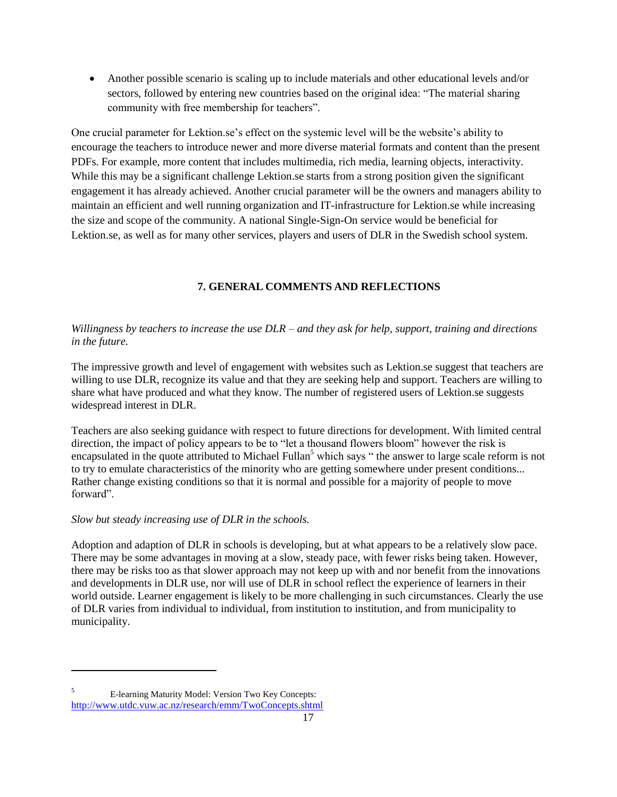Another possible scenario is scaling up to include materials and other educational levels and/or sectors, followed by entering new countries based on the original idea: "The material sharing community with free membership for teachers".

One crucial parameter for Lektion.se's effect on the systemic level will be the website's ability to encourage the teachers to introduce newer and more diverse material formats and content than the present PDFs. For example, more content that includes multimedia, rich media, learning objects, interactivity. While this may be a significant challenge Lektion.se starts from a strong position given the significant engagement it has already achieved. Another crucial parameter will be the owners and managers ability to maintain an efficient and well running organization and IT-infrastructure for Lektion.se while increasing the size and scope of the community. A national Single-Sign-On service would be beneficial for Lektion.se, as well as for many other services, players and users of DLR in the Swedish school system.

# **7. GENERAL COMMENTS AND REFLECTIONS**

# *Willingness by teachers to increase the use DLR – and they ask for help, support, training and directions in the future.*

The impressive growth and level of engagement with websites such as Lektion.se suggest that teachers are willing to use DLR, recognize its value and that they are seeking help and support. Teachers are willing to share what have produced and what they know. The number of registered users of Lektion.se suggests widespread interest in DLR.

Teachers are also seeking guidance with respect to future directions for development. With limited central direction, the impact of policy appears to be to "let a thousand flowers bloom" however the risk is encapsulated in the quote attributed to Michael Fullan<sup>5</sup> which says " the answer to large scale reform is not to try to emulate characteristics of the minority who are getting somewhere under present conditions... Rather change existing conditions so that it is normal and possible for a majority of people to move forward".

# *Slow but steady increasing use of DLR in the schools.*

Adoption and adaption of DLR in schools is developing, but at what appears to be a relatively slow pace. There may be some advantages in moving at a slow, steady pace, with fewer risks being taken. However, there may be risks too as that slower approach may not keep up with and nor benefit from the innovations and developments in DLR use, nor will use of DLR in school reflect the experience of learners in their world outside. Learner engagement is likely to be more challenging in such circumstances. Clearly the use of DLR varies from individual to individual, from institution to institution, and from municipality to municipality.

 $\overline{a}$ 

<sup>5</sup> E-learning Maturity Model: Version Two Key Concepts: <http://www.utdc.vuw.ac.nz/research/emm/TwoConcepts.shtml>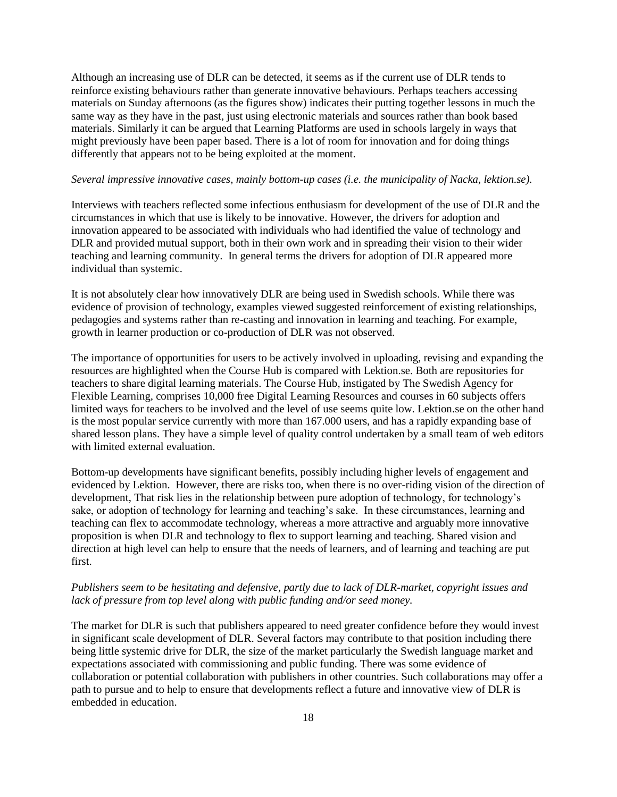Although an increasing use of DLR can be detected, it seems as if the current use of DLR tends to reinforce existing behaviours rather than generate innovative behaviours. Perhaps teachers accessing materials on Sunday afternoons (as the figures show) indicates their putting together lessons in much the same way as they have in the past, just using electronic materials and sources rather than book based materials. Similarly it can be argued that Learning Platforms are used in schools largely in ways that might previously have been paper based. There is a lot of room for innovation and for doing things differently that appears not to be being exploited at the moment.

#### *Several impressive innovative cases, mainly bottom-up cases (i.e. the municipality of Nacka, lektion.se).*

Interviews with teachers reflected some infectious enthusiasm for development of the use of DLR and the circumstances in which that use is likely to be innovative. However, the drivers for adoption and innovation appeared to be associated with individuals who had identified the value of technology and DLR and provided mutual support, both in their own work and in spreading their vision to their wider teaching and learning community. In general terms the drivers for adoption of DLR appeared more individual than systemic.

It is not absolutely clear how innovatively DLR are being used in Swedish schools. While there was evidence of provision of technology, examples viewed suggested reinforcement of existing relationships, pedagogies and systems rather than re-casting and innovation in learning and teaching. For example, growth in learner production or co-production of DLR was not observed.

The importance of opportunities for users to be actively involved in uploading, revising and expanding the resources are highlighted when the Course Hub is compared with Lektion.se. Both are repositories for teachers to share digital learning materials. The Course Hub, instigated by The Swedish Agency for Flexible Learning, comprises 10,000 free Digital Learning Resources and courses in 60 subjects offers limited ways for teachers to be involved and the level of use seems quite low. Lektion.se on the other hand is the most popular service currently with more than 167.000 users, and has a rapidly expanding base of shared lesson plans. They have a simple level of quality control undertaken by a small team of web editors with limited external evaluation.

Bottom-up developments have significant benefits, possibly including higher levels of engagement and evidenced by Lektion. However, there are risks too, when there is no over-riding vision of the direction of development, That risk lies in the relationship between pure adoption of technology, for technology's sake, or adoption of technology for learning and teaching"s sake. In these circumstances, learning and teaching can flex to accommodate technology, whereas a more attractive and arguably more innovative proposition is when DLR and technology to flex to support learning and teaching. Shared vision and direction at high level can help to ensure that the needs of learners, and of learning and teaching are put first.

## *Publishers seem to be hesitating and defensive, partly due to lack of DLR-market, copyright issues and lack of pressure from top level along with public funding and/or seed money.*

The market for DLR is such that publishers appeared to need greater confidence before they would invest in significant scale development of DLR. Several factors may contribute to that position including there being little systemic drive for DLR, the size of the market particularly the Swedish language market and expectations associated with commissioning and public funding. There was some evidence of collaboration or potential collaboration with publishers in other countries. Such collaborations may offer a path to pursue and to help to ensure that developments reflect a future and innovative view of DLR is embedded in education.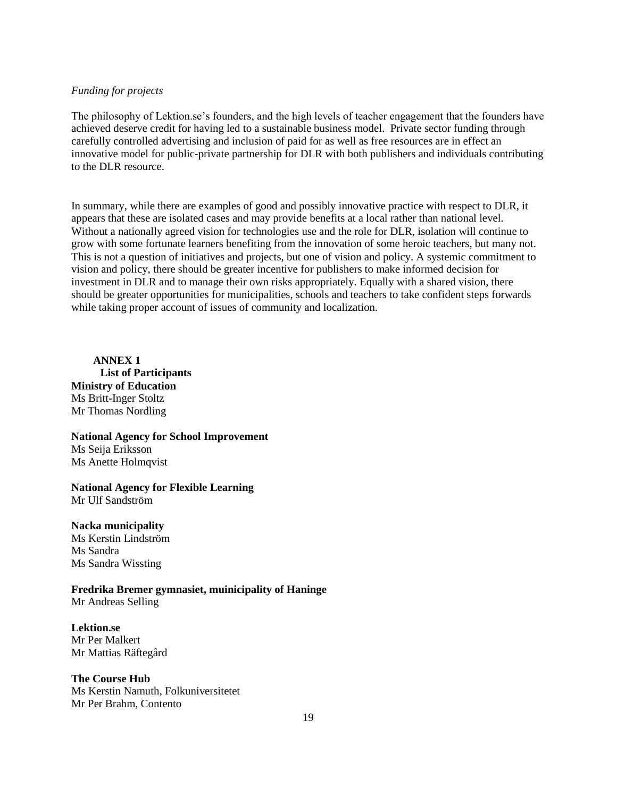### *Funding for projects*

The philosophy of Lektion.se"s founders, and the high levels of teacher engagement that the founders have achieved deserve credit for having led to a sustainable business model. Private sector funding through carefully controlled advertising and inclusion of paid for as well as free resources are in effect an innovative model for public-private partnership for DLR with both publishers and individuals contributing to the DLR resource.

In summary, while there are examples of good and possibly innovative practice with respect to DLR, it appears that these are isolated cases and may provide benefits at a local rather than national level. Without a nationally agreed vision for technologies use and the role for DLR, isolation will continue to grow with some fortunate learners benefiting from the innovation of some heroic teachers, but many not. This is not a question of initiatives and projects, but one of vision and policy. A systemic commitment to vision and policy, there should be greater incentive for publishers to make informed decision for investment in DLR and to manage their own risks appropriately. Equally with a shared vision, there should be greater opportunities for municipalities, schools and teachers to take confident steps forwards while taking proper account of issues of community and localization.

**ANNEX 1 List of Participants Ministry of Education** Ms Britt-Inger Stoltz Mr Thomas Nordling

# **National Agency for School Improvement** Ms Seija Eriksson

Ms Anette Holmqvist

**National Agency for Flexible Learning** Mr Ulf Sandström

# **Nacka municipality**

Ms Kerstin Lindström Ms Sandra Ms Sandra Wissting

**Fredrika Bremer gymnasiet, muinicipality of Haninge** Mr Andreas Selling

#### **Lektion.se** Mr Per Malkert

Mr Mattias Räftegård

### **The Course Hub**

Ms Kerstin Namuth, Folkuniversitetet Mr Per Brahm, Contento